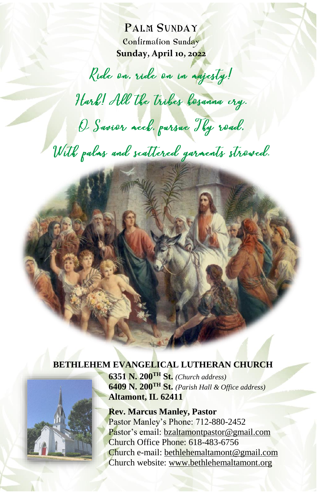PALM SUNDAY Confirmation Sunday **Sunday, April 10, 2022**

Ride on. ride on in agjesty!

Hark! All the tribes besanna cry.

O Savior acch. pursue Thy road.

With palms and scattered garments stroved.

#### **BETHLEHEM EVANGELICAL LUTHERAN CHURCH**



**6351 N. 200TH St.** *(Church address)* **6409 N. 200TH St.** *(Parish Hall & Office address)* **Altamont, IL 62411**

**Rev. Marcus Manley, Pastor** Pastor Manley's Phone: 712-880-2452 Pastor's email: [bzaltamontpastor@gmail.com](mailto:bzaltamontpastor@gmail.com) Church Office Phone: 618-483-6756 Church e-mail: [bethlehemaltamont@gmail.com](mailto:bethlehemaltamont@gmail.com) Church website: [www.bethlehemaltamont.org](http://www.bethlehemaltamont.org/)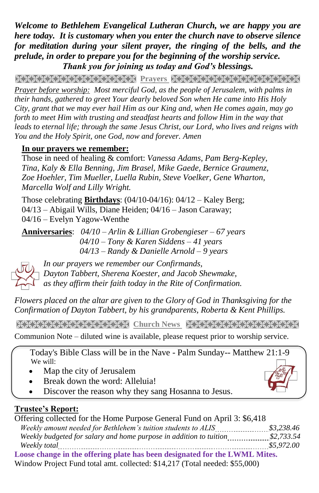*Welcome to Bethlehem Evangelical Lutheran Church, we are happy you are here today. It is customary when you enter the church nave to observe silence for meditation during your silent prayer, the ringing of the bells, and the prelude, in order to prepare you for the beginning of the worship service. Thank you for joining us today and God's blessings.*

**PRAYARANA AND TEXT PERSONAL PROPERTY AND TEXT AND TEXT AND TEXT AND TEXT AND TEXT AND TEXT AND TEXT** 

*Prayer before worship: Most merciful God, as the people of Jerusalem, with palms in their hands, gathered to greet Your dearly beloved Son when He came into His Holy City, grant that we may ever hail Him as our King and, when He comes again, may go forth to meet Him with trusting and steadfast hearts and follow Him in the way that leads to eternal life; through the same Jesus Christ, our Lord, who lives and reigns with You and the Holy Spirit, one God, now and forever. Amen*

### **In our prayers we remember:**

Those in need of healing & comfort: *Vanessa Adams, Pam Berg-Kepley, Tina, Kaly & Ella Benning, Jim Brasel, Mike Gaede, Bernice Graumenz, Zoe Hoehler, Tim Mueller, Luella Rubin, Steve Voelker, Gene Wharton, Marcella Wolf and Lilly Wright.*

Those celebrating **Birthdays**: (04/10-04/16): 04/12 – Kaley Berg; 04/13 – Abigail Wills, Diane Heiden; 04/16 – Jason Caraway; 04/16 – Evelyn Yagow-Wenthe

**Anniversaries**: *04/10 – Arlin & Lillian Grobengieser – 67 years 04/10 – Tony & Karen Siddens – 41 years 04/13 – Randy & Danielle Arnold – 9 years*



*In our prayers we remember our Confirmands, Dayton Tabbert, Sherena Koester, and Jacob Shewmake, as they affirm their faith today in the Rite of Confirmation.*

*Flowers placed on the altar are given to the Glory of God in Thanksgiving for the Confirmation of Dayton Tabbert, by his grandparents, Roberta & Kent Phillips.*

**Church News Street Church News Street Care Care Care Control Control Control Control Control Control Control Control Control Control Control Control Control Control Control Control Control Control Control Control Control** 

Communion Note – diluted wine is available, please request prior to worship service.

 Today's Bible Class will be in the Nave - Palm Sunday-- Matthew 21:1-9 We will:

- Map the city of Jerusalem
- Break down the word: Alleluia!
- Discover the reason why they sang Hosanna to Jesus.

## **Trustee's Report:**

| Offering collected for the Home Purpose General Fund on April 3: \$6,418   |            |
|----------------------------------------------------------------------------|------------|
| Weekly amount needed for Bethlehem's tuition students to ALIS              | \$3.238.46 |
| Weekly budgeted for salary and home purpose in addition to tuition         | \$2,733.54 |
| Weekly total                                                               | \$5,972.00 |
| Loose change in the offering plate has been designated for the LWML Mites. |            |

Window Project Fund total amt. collected: \$14,217 (Total needed: \$55,000)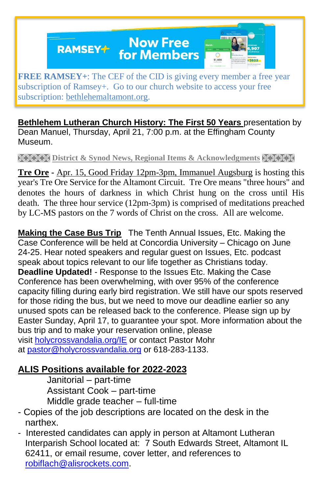**Now Free RAMSEY+** for Members



**FREE RAMSEY+**: The CEF of the CID is giving every member a free year subscription of Ramsey+. Go to our church website to access your free subscription: [bethlehemaltamont.org.](http://bethlehemaltamont.org/)

**Bethlehem Lutheran Church History: The First 50 Years** presentation by Dean Manuel, Thursday, April 21, 7:00 p.m. at the Effingham County Museum.

**District & Synod News, Regional Items & Acknowledgments XXXXX** 

**Tre Ore -** Apr. 15, Good Friday 12pm-3pm, Immanuel Augsburg is hosting this year's Tre Ore Service for the Altamont Circuit. Tre Ore means "three hours" and denotes the hours of darkness in which Christ hung on the cross until His death. The three hour service (12pm-3pm) is comprised of meditations preached by LC-MS pastors on the 7 words of Christ on the cross. All are welcome.

**Making the Case Bus Trip** The Tenth Annual Issues, Etc. Making the Case Conference will be held at Concordia University – Chicago on June 24-25. Hear noted speakers and regular guest on Issues, Etc. podcast speak about topics relevant to our life together as Christians today. **Deadline Updated!** - Response to the Issues Etc. Making the Case Conference has been overwhelming, with over 95% of the conference capacity filling during early bird registration. We still have our spots reserved for those riding the bus, but we need to move our deadline earlier so any unused spots can be released back to the conference. Please sign up by Easter Sunday, April 17, to guarantee your spot. More information about the bus trip and to make your reservation online, please visit [holycrossvandalia.org/IE](http://holycrossvandalia.org/IE) or contact Pastor Mohr at [pastor@holycrossvandalia.org](mailto:pastor@holycrossvandalia.org) or 618-283-1133.

## **ALIS Positions available for 2022-2023**

Janitorial – part-time Assistant Cook – part-time Middle grade teacher – full-time

- Copies of the job descriptions are located on the desk in the narthex.
- Interested candidates can apply in person at Altamont Lutheran Interparish School located at: 7 South Edwards Street, Altamont IL 62411, or email resume, cover letter, and references to [robiflach@alisrockets.com.](mailto:robiflach@alisrockets.com)